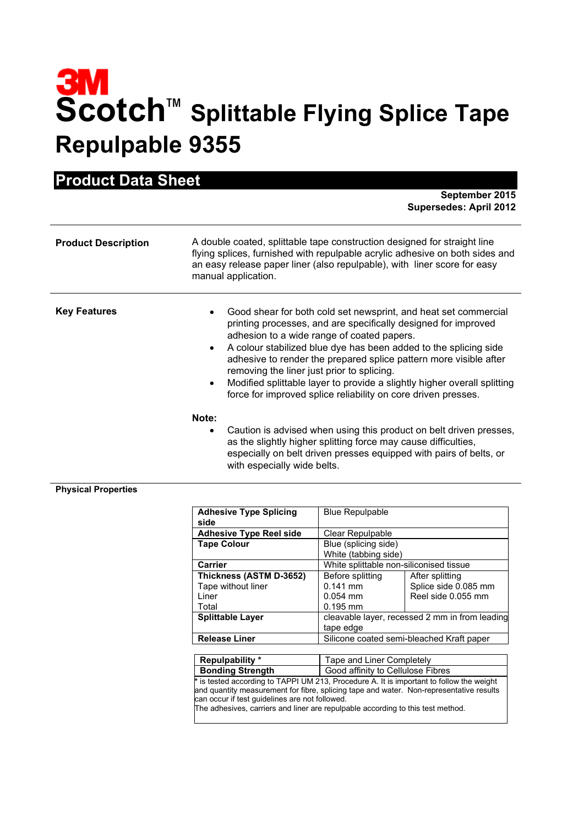## **3M**<br>Scotch<sup>™</sup> Splittable Flying Splice Tape **Repulpable 9355**

| TOUNG DUM ONGG             | September 2015<br><b>Supersedes: April 2012</b>                                                                                                                                                                                                                                                                                                                                                                                                                                                                                               |
|----------------------------|-----------------------------------------------------------------------------------------------------------------------------------------------------------------------------------------------------------------------------------------------------------------------------------------------------------------------------------------------------------------------------------------------------------------------------------------------------------------------------------------------------------------------------------------------|
| <b>Product Description</b> | A double coated, splittable tape construction designed for straight line<br>flying splices, furnished with repulpable acrylic adhesive on both sides and<br>an easy release paper liner (also repulpable), with liner score for easy<br>manual application.                                                                                                                                                                                                                                                                                   |
| <b>Key Features</b>        | Good shear for both cold set newsprint, and heat set commercial<br>printing processes, and are specifically designed for improved<br>adhesion to a wide range of coated papers.<br>A colour stabilized blue dye has been added to the splicing side<br>$\bullet$<br>adhesive to render the prepared splice pattern more visible after<br>removing the liner just prior to splicing.<br>Modified splittable layer to provide a slightly higher overall splitting<br>$\bullet$<br>force for improved splice reliability on core driven presses. |
|                            | Note:<br>Caution is advised when using this product on belt driven presses,<br>$\bullet$<br>as the slightly higher splitting force may cause difficulties,<br>especially on belt driven presses equipped with pairs of belts, or<br>with especially wide belts.                                                                                                                                                                                                                                                                               |

## **Physical Properties**

**Product Data Sheet**

| <b>Adhesive Type Splicing</b><br>side | <b>Blue Repulpable</b>                    |                                                |
|---------------------------------------|-------------------------------------------|------------------------------------------------|
| <b>Adhesive Type Reel side</b>        | Clear Repulpable                          |                                                |
| <b>Tape Colour</b>                    | Blue (splicing side)                      |                                                |
|                                       | White (tabbing side)                      |                                                |
| Carrier                               | White splittable non-siliconised tissue   |                                                |
| Thickness (ASTM D-3652)               | Before splitting                          | After splitting                                |
| Tape without liner                    | $0.141$ mm                                | Splice side 0.085 mm                           |
| I iner                                | $0.054$ mm                                | Reel side 0.055 mm                             |
| Total                                 | $0.195$ mm                                |                                                |
| <b>Splittable Layer</b>               |                                           | cleavable layer, recessed 2 mm in from leading |
|                                       | tape edge                                 |                                                |
| <b>Release Liner</b>                  | Silicone coated semi-bleached Kraft paper |                                                |

| Repulpability *                                | Tape and Liner Completely                                                                                                                                                           |
|------------------------------------------------|-------------------------------------------------------------------------------------------------------------------------------------------------------------------------------------|
| <b>Bonding Strength</b>                        | Good affinity to Cellulose Fibres                                                                                                                                                   |
|                                                | * is tested according to TAPPI UM 213, Procedure A. It is important to follow the weight<br>and quantity measurement for fibre, splicing tape and water. Non-representative results |
| can occur if test guidelines are not followed. | The adhesives, carriers and liner are repulpable according to this test method.                                                                                                     |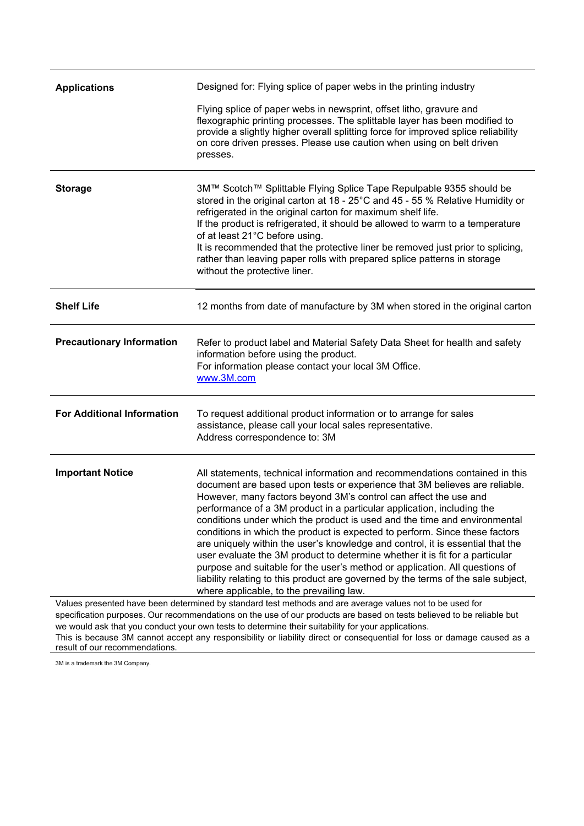| <b>Applications</b>               | Designed for: Flying splice of paper webs in the printing industry                                                                                                                                                                                                                                                                                                                                                                                                                                                                    |
|-----------------------------------|---------------------------------------------------------------------------------------------------------------------------------------------------------------------------------------------------------------------------------------------------------------------------------------------------------------------------------------------------------------------------------------------------------------------------------------------------------------------------------------------------------------------------------------|
|                                   | Flying splice of paper webs in newsprint, offset litho, gravure and<br>flexographic printing processes. The splittable layer has been modified to<br>provide a slightly higher overall splitting force for improved splice reliability<br>on core driven presses. Please use caution when using on belt driven<br>presses.                                                                                                                                                                                                            |
| <b>Storage</b>                    | 3M™ Scotch™ Splittable Flying Splice Tape Repulpable 9355 should be<br>stored in the original carton at 18 - 25°C and 45 - 55 % Relative Humidity or<br>refrigerated in the original carton for maximum shelf life.<br>If the product is refrigerated, it should be allowed to warm to a temperature<br>of at least 21°C before using.<br>It is recommended that the protective liner be removed just prior to splicing,<br>rather than leaving paper rolls with prepared splice patterns in storage<br>without the protective liner. |
| <b>Shelf Life</b>                 | 12 months from date of manufacture by 3M when stored in the original carton                                                                                                                                                                                                                                                                                                                                                                                                                                                           |
| <b>Precautionary Information</b>  | Refer to product label and Material Safety Data Sheet for health and safety<br>information before using the product.<br>For information please contact your local 3M Office.<br>www.3M.com                                                                                                                                                                                                                                                                                                                                            |
| <b>For Additional Information</b> | To request additional product information or to arrange for sales<br>assistance, please call your local sales representative.<br>Address correspondence to: 3M                                                                                                                                                                                                                                                                                                                                                                        |
| <b>Important Notice</b>           | All statements, technical information and recommendations contained in this<br>document are based upon tests or experience that 3M believes are reliable.<br>However, many factors beyond 3M's control can affect the use and<br>performance of a 3M product in a particular application, including the<br>conditions under which the product is used and the time and environmental                                                                                                                                                  |

This is because 3M cannot accept any responsibility or liability direct or consequential for loss or damage caused as a result of our recommendations.

3M is a trademark the 3M Company.